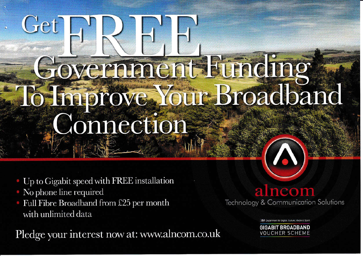## Get RRH Government Bunding To fin prove. Your Broadband Connection

- Up to Gigabit speed with FREE installation
- No phone line required
- Full Fibre Broadband from £25 per month with unlimited data

Pledge your interest now at: www.alncom.co.uk

alncom **Technology & Communication Solutions** 

Department for Digital, Culture, Media & Soor